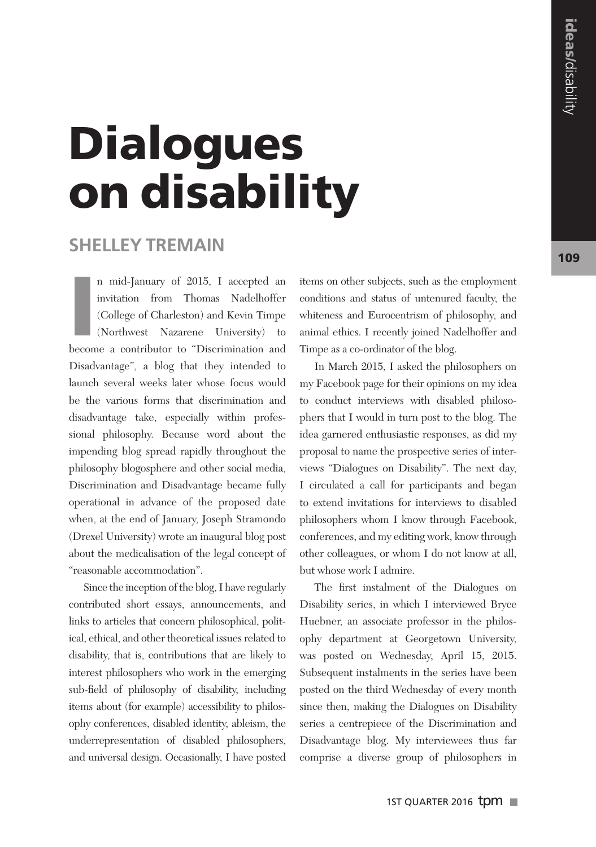## **Dialogues** on disability

## **Shelley Tremain**

n mid-January of 2015, I accepted an invitation from Thomas Nadelhoffer (College of Charleston) and Kevin Timpe (Northwest Nazarene University) to become a contributor to "Discrimination and n mid-January of 2015, I accepted an invitation from Thomas Nadelhoffer (College of Charleston) and Kevin Timpe (Northwest Nazarene University) to Disadvantage", a blog that they intended to launch several weeks later whose focus would be the various forms that discrimination and disadvantage take, especially within professional philosophy. Because word about the impending blog spread rapidly throughout the philosophy blogosphere and other social media, Discrimination and Disadvantage became fully operational in advance of the proposed date when, at the end of January, Joseph Stramondo (Drexel University) wrote an inaugural blog post about the medicalisation of the legal concept of "reasonable accommodation".

Since the inception of the blog, I have regularly contributed short essays, announcements, and links to articles that concern philosophical, political, ethical, and other theoretical issues related to disability, that is, contributions that are likely to interest philosophers who work in the emerging sub-field of philosophy of disability, including items about (for example) accessibility to philosophy conferences, disabled identity, ableism, the underrepresentation of disabled philosophers, and universal design. Occasionally, I have posted

items on other subjects, such as the employment conditions and status of untenured faculty, the whiteness and Eurocentrism of philosophy, and animal ethics. I recently joined Nadelhoffer and Timpe as a co-ordinator of the blog.

In March 2015, I asked the philosophers on my Facebook page for their opinions on my idea to conduct interviews with disabled philosophers that I would in turn post to the blog. The idea garnered enthusiastic responses, as did my proposal to name the prospective series of interviews "Dialogues on Disability". The next day, I circulated a call for participants and began to extend invitations for interviews to disabled philosophers whom I know through Facebook, conferences, and my editing work, know through other colleagues, or whom I do not know at all, but whose work I admire.

The first instalment of the Dialogues on Disability series, in which I interviewed Bryce Huebner, an associate professor in the philosophy department at Georgetown University, was posted on Wednesday, April 15, 2015. Subsequent instalments in the series have been posted on the third Wednesday of every month since then, making the Dialogues on Disability series a centrepiece of the Discrimination and Disadvantage blog. My interviewees thus far comprise a diverse group of philosophers in